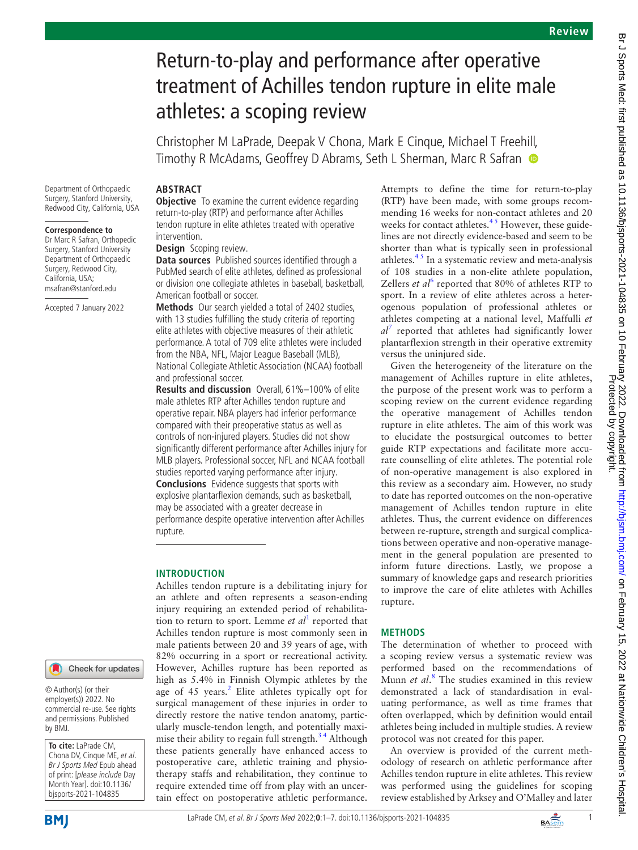# Return-to-play and performance after operative treatment of Achilles tendon rupture in elite male athletes: a scoping review

Christopher M LaPrade, Deepak V Chona, Mark E Cinque, Michael T Freehill, Timothy R McAdams, Geoffrey D Abrams, Seth L Sherman, Marc R Safran

# **ABSTRACT**

Department of Orthopaedic Surgery, Stanford University, Redwood City, California, USA

# **Correspondence to**

Dr Marc R Safran, Orthopedic Surgery, Stanford University Department of Orthopaedic Surgery, Redwood City, California, USA; msafran@stanford.edu

Accepted 7 January 2022

**Objective** To examine the current evidence regarding return-to-play (RTP) and performance after Achilles tendon rupture in elite athletes treated with operative intervention.

#### **Design** Scoping review.

**Data sources** Published sources identified through a PubMed search of elite athletes, defined as professional or division one collegiate athletes in baseball, basketball, American football or soccer.

**Methods** Our search yielded a total of 2402 studies, with 13 studies fulfilling the study criteria of reporting elite athletes with objective measures of their athletic performance. A total of 709 elite athletes were included from the NBA, NFL, Major League Baseball (MLB), National Collegiate Athletic Association (NCAA) football and professional soccer.

**Results and discussion** Overall, 61%–100% of elite male athletes RTP after Achilles tendon rupture and operative repair. NBA players had inferior performance compared with their preoperative status as well as controls of non-injured players. Studies did not show significantly different performance after Achilles injury for MLB players. Professional soccer, NFL and NCAA football studies reported varying performance after injury. **Conclusions** Evidence suggests that sports with explosive plantarflexion demands, such as basketball, may be associated with a greater decrease in performance despite operative intervention after Achilles rupture.

# **INTRODUCTION**

Achilles tendon rupture is a debilitating injury for an athlete and often represents a season-ending injury requiring an extended period of rehabilitation to return to sport. Lemme *et al*<sup>[1](#page-5-0)</sup> reported that Achilles tendon rupture is most commonly seen in male patients between 20 and 39 years of age, with 82% occurring in a sport or recreational activity. However, Achilles rupture has been reported as high as 5.4% in Finnish Olympic athletes by the age of 45 years.<sup>[2](#page-5-1)</sup> Elite athletes typically opt for surgical management of these injuries in order to directly restore the native tendon anatomy, particularly muscle-tendon length, and potentially maximise their ability to regain full strength.<sup>34</sup> Although these patients generally have enhanced access to postoperative care, athletic training and physiotherapy staffs and rehabilitation, they continue to require extended time off from play with an uncertain effect on postoperative athletic performance.

Attempts to define the time for return-to-play (RTP) have been made, with some groups recommending 16 weeks for non-contact athletes and 20 weeks for contact athletes. $4<sup>5</sup>$  However, these guidelines are not directly evidence-based and seem to be shorter than what is typically seen in professional athletes. $4<sup>5</sup>$  In a systematic review and meta-analysis of 108 studies in a non-elite athlete population, Zellers *et al*<sup>[6](#page-6-0)</sup> reported that 80% of athletes RTP to sport. In a review of elite athletes across a heterogenous population of professional athletes or athletes competing at a national level, Maffulli *et al*[7](#page-6-1) reported that athletes had significantly lower plantarflexion strength in their operative extremity versus the uninjured side.

Given the heterogeneity of the literature on the management of Achilles rupture in elite athletes, the purpose of the present work was to perform a scoping review on the current evidence regarding the operative management of Achilles tendon rupture in elite athletes. The aim of this work was to elucidate the postsurgical outcomes to better guide RTP expectations and facilitate more accurate counselling of elite athletes. The potential role of non-operative management is also explored in this review as a secondary aim. However, no study to date has reported outcomes on the non-operative management of Achilles tendon rupture in elite athletes. Thus, the current evidence on differences between re-rupture, strength and surgical complications between operative and non-operative management in the general population are presented to inform future directions. Lastly, we propose a summary of knowledge gaps and research priorities to improve the care of elite athletes with Achilles rupture.

# **METHODS**

The determination of whether to proceed with a scoping review versus a systematic review was performed based on the recommendations of Munn *et al.*<sup>[8](#page-6-2)</sup> The studies examined in this review demonstrated a lack of standardisation in evaluating performance, as well as time frames that often overlapped, which by definition would entail athletes being included in multiple studies. A review protocol was not created for this paper.

An overview is provided of the current methodology of research on athletic performance after Achilles tendon rupture in elite athletes. This review was performed using the guidelines for scoping review established by Arksey and O'Malley and later

Check for updates

© Author(s) (or their employer(s)) 2022. No commercial re-use. See rights and permissions. Published by BMJ.

**To cite:** LaPrade CM, Chona DV, Cinque ME, et al. Br J Sports Med Epub ahead of print: [please include Day Month Year]. doi:10.1136/ bjsports-2021-104835

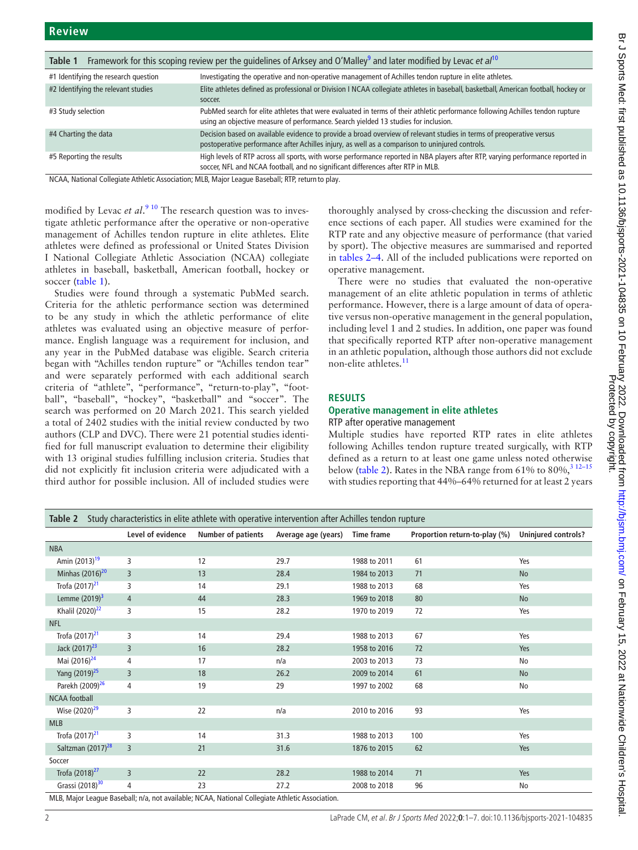<span id="page-1-0"></span>

| Framework for this scoping review per the quidelines of Arksey and O'Malley <sup>9</sup> and later modified by Levac et al <sup>10</sup><br>Table 1 |                                                                                                                                                                                                                         |  |  |  |
|-----------------------------------------------------------------------------------------------------------------------------------------------------|-------------------------------------------------------------------------------------------------------------------------------------------------------------------------------------------------------------------------|--|--|--|
| #1 Identifying the research question                                                                                                                | Investigating the operative and non-operative management of Achilles tendon rupture in elite athletes.                                                                                                                  |  |  |  |
| #2 Identifying the relevant studies                                                                                                                 | Elite athletes defined as professional or Division I NCAA collegiate athletes in baseball, basketball, American football, hockey or<br>soccer.                                                                          |  |  |  |
| #3 Study selection                                                                                                                                  | PubMed search for elite athletes that were evaluated in terms of their athletic performance following Achilles tendon rupture<br>using an objective measure of performance. Search yielded 13 studies for inclusion.    |  |  |  |
| #4 Charting the data                                                                                                                                | Decision based on available evidence to provide a broad overview of relevant studies in terms of preoperative versus<br>postoperative performance after Achilles injury, as well as a comparison to uninjured controls. |  |  |  |
| #5 Reporting the results                                                                                                                            | High levels of RTP across all sports, with worse performance reported in NBA players after RTP, varying performance reported in<br>soccer, NFL and NCAA football, and no significant differences after RTP in MLB.      |  |  |  |

NCAA, National Collegiate Athletic Association; MLB, Major League Baseball; RTP, return to play.

modified by Levac *et al.*<sup>910</sup> The research question was to investigate athletic performance after the operative or non-operative management of Achilles tendon rupture in elite athletes. Elite athletes were defined as professional or United States Division I National Collegiate Athletic Association (NCAA) collegiate athletes in baseball, basketball, American football, hockey or soccer [\(table](#page-1-0) 1).

Studies were found through a systematic PubMed search. Criteria for the athletic performance section was determined to be any study in which the athletic performance of elite athletes was evaluated using an objective measure of performance. English language was a requirement for inclusion, and any year in the PubMed database was eligible. Search criteria began with "Achilles tendon rupture" or "Achilles tendon tear" and were separately performed with each additional search criteria of "athlete", "performance", "return-to-play", "football", "baseball", "hockey", "basketball" and "soccer". The search was performed on 20 March 2021. This search yielded a total of 2402 studies with the initial review conducted by two authors (CLP and DVC). There were 21 potential studies identified for full manuscript evaluation to determine their eligibility with 13 original studies fulfilling inclusion criteria. Studies that did not explicitly fit inclusion criteria were adjudicated with a third author for possible inclusion. All of included studies were thoroughly analysed by cross-checking the discussion and reference sections of each paper. All studies were examined for the RTP rate and any objective measure of performance (that varied by sport). The objective measures are summarised and reported in [tables](#page-1-1) 2–4. All of the included publications were reported on operative management.

There were no studies that evaluated the non-operative management of an elite athletic population in terms of athletic performance. However, there is a large amount of data of operative versus non-operative management in the general population, including level 1 and 2 studies. In addition, one paper was found that specifically reported RTP after non-operative management in an athletic population, although those authors did not exclude non-elite athletes.<sup>[11](#page-6-4)</sup>

# **RESULTS**

## **Operative management in elite athletes**

RTP after operative management

Multiple studies have reported RTP rates in elite athletes following Achilles tendon rupture treated surgically, with RTP defined as a return to at least one game unless noted otherwise below [\(table](#page-1-1) 2). Rates in the NBA range from 61% to  $80\%$ ,  $312-15$ with studies reporting that 44%–64% returned for at least 2 years

<span id="page-1-1"></span>

| Study characteristics in elite athlete with operative intervention after Achilles tendon rupture<br>Table 2 |                   |                           |                     |                   |                               |                     |
|-------------------------------------------------------------------------------------------------------------|-------------------|---------------------------|---------------------|-------------------|-------------------------------|---------------------|
|                                                                                                             | Level of evidence | <b>Number of patients</b> | Average age (years) | <b>Time frame</b> | Proportion return-to-play (%) | Uninjured controls? |
| <b>NBA</b>                                                                                                  |                   |                           |                     |                   |                               |                     |
| Amin (2013) <sup>19</sup>                                                                                   | 3                 | 12                        | 29.7                | 1988 to 2011      | 61                            | Yes                 |
| Minhas $(2016)^{20}$                                                                                        | 3                 | 13                        | 28.4                | 1984 to 2013      | 71                            | No                  |
| Trofa (2017) <sup>21</sup>                                                                                  | 3                 | 14                        | 29.1                | 1988 to 2013      | 68                            | Yes                 |
| Lemme $(2019)^3$                                                                                            | $\overline{4}$    | 44                        | 28.3                | 1969 to 2018      | 80                            | No                  |
| Khalil (2020) <sup>22</sup>                                                                                 | 3                 | 15                        | 28.2                | 1970 to 2019      | 72                            | Yes                 |
| <b>NFL</b>                                                                                                  |                   |                           |                     |                   |                               |                     |
| Trofa (2017) <sup>21</sup>                                                                                  | 3                 | 14                        | 29.4                | 1988 to 2013      | 67                            | Yes                 |
| Jack (2017) <sup>23</sup>                                                                                   | $\overline{3}$    | 16                        | 28.2                | 1958 to 2016      | 72                            | Yes                 |
| Mai (2016) <sup>24</sup>                                                                                    | 4                 | 17                        | n/a                 | 2003 to 2013      | 73                            | No                  |
| Yang (2019) <sup>25</sup>                                                                                   | 3                 | 18                        | 26.2                | 2009 to 2014      | 61                            | <b>No</b>           |
| Parekh (2009) <sup>26</sup>                                                                                 | 4                 | 19                        | 29                  | 1997 to 2002      | 68                            | No                  |
| <b>NCAA football</b>                                                                                        |                   |                           |                     |                   |                               |                     |
| Wise (2020) <sup>29</sup>                                                                                   | 3                 | 22                        | n/a                 | 2010 to 2016      | 93                            | Yes                 |
| <b>MLB</b>                                                                                                  |                   |                           |                     |                   |                               |                     |
| Trofa (2017) <sup>21</sup>                                                                                  | 3                 | 14                        | 31.3                | 1988 to 2013      | 100                           | Yes                 |
| Saltzman (2017) <sup>28</sup>                                                                               | $\overline{3}$    | 21                        | 31.6                | 1876 to 2015      | 62                            | Yes                 |
| Soccer                                                                                                      |                   |                           |                     |                   |                               |                     |
| Trofa (2018) <sup>27</sup>                                                                                  | $\overline{3}$    | 22                        | 28.2                | 1988 to 2014      | 71                            | Yes                 |
| Grassi (2018) <sup>30</sup>                                                                                 | 4                 | 23                        | 27.2                | 2008 to 2018      | 96                            | No                  |
| MLB, Major League Baseball; n/a, not available; NCAA, National Collegiate Athletic Association.             |                   |                           |                     |                   |                               |                     |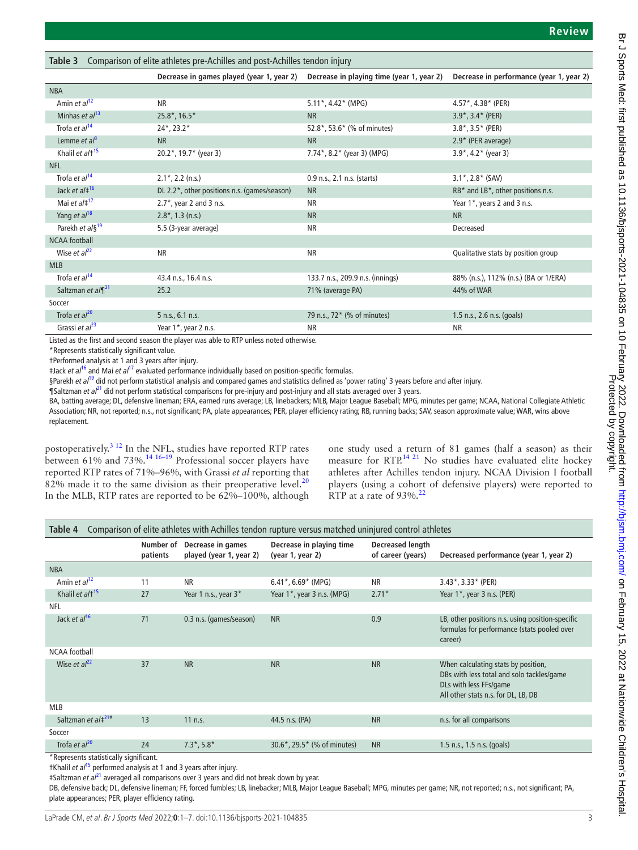<span id="page-2-0"></span>

| <b>Table 3</b> Comparison of elite athletes pre-Achilles and post-Achilles tendon injury |                                                                                                                              |                                  |                                          |  |  |
|------------------------------------------------------------------------------------------|------------------------------------------------------------------------------------------------------------------------------|----------------------------------|------------------------------------------|--|--|
|                                                                                          | Decrease in games played (year 1, year 2) Decrease in playing time (year 1, year 2)                                          |                                  | Decrease in performance (year 1, year 2) |  |  |
| <b>NBA</b>                                                                               |                                                                                                                              |                                  |                                          |  |  |
| Amin et al <sup>12</sup>                                                                 | <b>NR</b>                                                                                                                    | $5.11^*$ , 4.42* (MPG)           | 4.57*, 4.38* (PER)                       |  |  |
| Minhas et $al^{13}$                                                                      | 25.8*, 16.5*                                                                                                                 | <b>NR</b>                        | $3.9^*$ , $3.4^*$ (PER)                  |  |  |
| Trofa et $al^{14}$                                                                       | $24^*$ , 23.2*                                                                                                               | 52.8*, 53.6* (% of minutes)      | $3.8^*$ , $3.5^*$ (PER)                  |  |  |
| Lemme et $a^3$                                                                           | <b>NR</b>                                                                                                                    | <b>NR</b>                        | 2.9* (PER average)                       |  |  |
| Khalil et al <sup>+15</sup>                                                              | $20.2^*$ , 19.7* (year 3)                                                                                                    | 7.74*, $8.2*$ (year 3) (MPG)     | $3.9^*$ , 4.2* (year 3)                  |  |  |
| <b>NFL</b>                                                                               |                                                                                                                              |                                  |                                          |  |  |
| Trofa et al <sup>14</sup>                                                                | $2.1^*$ , 2.2 (n.s.)                                                                                                         | 0.9 n.s., 2.1 n.s. (starts)      | $3.1^*$ , $2.8^*$ (SAV)                  |  |  |
| Jack et al <sup>‡16</sup>                                                                | DL 2.2 <sup>*</sup> , other positions n.s. (games/season)                                                                    | <b>NR</b>                        | RB* and LB*, other positions n.s.        |  |  |
| Mai et $al+17$                                                                           | $2.7^*$ , year 2 and 3 n.s.                                                                                                  | <b>NR</b>                        | Year 1*, years 2 and 3 n.s.              |  |  |
| Yang et $al^{18}$                                                                        | $2.8^*$ , 1.3 (n.s.)                                                                                                         | <b>NR</b>                        | <b>NR</b>                                |  |  |
| Parekh et al§ <sup>19</sup>                                                              | 5.5 (3-year average)                                                                                                         | <b>NR</b>                        | Decreased                                |  |  |
| <b>NCAA football</b>                                                                     |                                                                                                                              |                                  |                                          |  |  |
| Wise et $al22$                                                                           | <b>NR</b>                                                                                                                    | <b>NR</b>                        | Qualitative stats by position group      |  |  |
| <b>MLB</b>                                                                               |                                                                                                                              |                                  |                                          |  |  |
| Trofa et al <sup>14</sup>                                                                | 43.4 n.s., 16.4 n.s.                                                                                                         | 133.7 n.s., 209.9 n.s. (innings) | 88% (n.s.), 112% (n.s.) (BA or 1/ERA)    |  |  |
| Saltzman et al <sup>q<sub>21</sub></sup>                                                 | 25.2                                                                                                                         | 71% (average PA)                 | 44% of WAR                               |  |  |
| Soccer                                                                                   |                                                                                                                              |                                  |                                          |  |  |
| Trofa et $al^{20}$                                                                       | 5 n.s., 6.1 n.s.                                                                                                             | 79 n.s., 72* (% of minutes)      | 1.5 n.s., 2.6 n.s. (goals)               |  |  |
| Grassi et al <sup>23</sup>                                                               | Year 1 <sup>*</sup> , year 2 n.s.<br>Listed as the first and second second the player was able to DTD unless noted otherwise | <b>NR</b>                        | <b>NR</b>                                |  |  |

Listed as the first and second season the player was able to RTP unless noted otherwise.

\*Represents statistically significant value.

†Performed analysis at 1 and 3 years after injury.

‡Jack *et al*[16](#page-6-22) and Mai *et al*[17](#page-6-23) evaluated performance individually based on position-specific formulas.

§Parekh et al<sup>19</sup> did not perform statistical analysis and compared games and statistics defined as 'power rating' 3 years before and after injury.

¶Saltzman *et al*[21](#page-6-8) did not perform statistical comparisons for pre-injury and post-injury and all stats averaged over 3 years.

BA, batting average; DL, defensive lineman; ERA, earned runs average; LB, linebackers; MLB, Major League Baseball; MPG, minutes per game; NCAA, National Collegiate Athletic Association; NR, not reported; n.s., not significant; PA, plate appearances; PER, player efficiency rating; RB, running backs; SAV, season approximate value; WAR, wins above replacement.

postoperatively.[3 12](#page-5-2) In the NFL, studies have reported RTP rates between 61% and 73%.<sup>14 16–19</sup> Professional soccer players have reported RTP rates of 71%–96%, with Grassi *et al* reporting that 82% made it to the same division as their preoperative level. $2<sup>0</sup>$ In the MLB, RTP rates are reported to be 62%–100%, although one study used a return of 81 games (half a season) as their measure for  $\text{RTP}^{14}$  21 No studies have evaluated elite hockey athletes after Achilles tendon injury. NCAA Division I football players (using a cohort of defensive players) were reported to RTP at a rate of  $93\%$ .<sup>[22](#page-6-9)</sup>

<span id="page-2-1"></span>

| Comparison of elite athletes with Achilles tendon rupture versus matched uninjured control athletes<br>Table 4 |                       |                                              |                                              |                                       |                                                                                                                                                   |
|----------------------------------------------------------------------------------------------------------------|-----------------------|----------------------------------------------|----------------------------------------------|---------------------------------------|---------------------------------------------------------------------------------------------------------------------------------------------------|
|                                                                                                                | Number of<br>patients | Decrease in games<br>played (year 1, year 2) | Decrease in playing time<br>(year 1, year 2) | Decreased length<br>of career (years) | Decreased performance (year 1, year 2)                                                                                                            |
| <b>NBA</b>                                                                                                     |                       |                                              |                                              |                                       |                                                                                                                                                   |
| Amin et $al^{12}$                                                                                              | 11                    | <b>NR</b>                                    | $6.41$ *, $6.69$ * (MPG)                     | <b>NR</b>                             | $3.43^*$ , $3.33^*$ (PER)                                                                                                                         |
| Khalil et $alt^{15}$                                                                                           | 27                    | Year 1 n.s., year 3*                         | Year 1 <sup>*</sup> , year 3 n.s. (MPG)      | $2.71*$                               | Year 1 <sup>*</sup> , year 3 n.s. (PER)                                                                                                           |
| NFL                                                                                                            |                       |                                              |                                              |                                       |                                                                                                                                                   |
| Jack et $al^{16}$                                                                                              | 71                    | 0.3 n.s. (games/season)                      | <b>NR</b>                                    | 0.9                                   | LB, other positions n.s. using position-specific<br>formulas for performance (stats pooled over<br>career)                                        |
| <b>NCAA</b> football                                                                                           |                       |                                              |                                              |                                       |                                                                                                                                                   |
| Wise et $al^{22}$                                                                                              | 37                    | <b>NR</b>                                    | <b>NR</b>                                    | <b>NR</b>                             | When calculating stats by position,<br>DBs with less total and solo tackles/game<br>DLs with less FFs/game<br>All other stats n.s. for DL, LB, DB |
| <b>MLB</b>                                                                                                     |                       |                                              |                                              |                                       |                                                                                                                                                   |
| Saltzman et al <sup>‡21#</sup>                                                                                 | 13                    | 11 n.s.                                      | 44.5 n.s. (PA)                               | <b>NR</b>                             | n.s. for all comparisons                                                                                                                          |
| Soccer                                                                                                         |                       |                                              |                                              |                                       |                                                                                                                                                   |
| Trofa et $al^{20}$                                                                                             | 24                    | $7.3^*$ , 5.8*                               | 30.6*, 29.5* (% of minutes)                  | <b>NR</b>                             | 1.5 n.s., 1.5 n.s. (goals)                                                                                                                        |
| *Represents statistically significant.                                                                         |                       |                                              |                                              |                                       |                                                                                                                                                   |

†Khalil *et al*[15](#page-6-21) performed analysis at 1 and 3 years after injury.

‡Saltzman *et al*[21](#page-6-8) averaged all comparisons over 3 years and did not break down by year.

DB, defensive back; DL, defensive lineman; FF, forced fumbles; LB, linebacker; MLB, Major League Baseball; MPG, minutes per game; NR, not reported; n.s., not significant; PA, plate appearances; PER, player efficiency rating.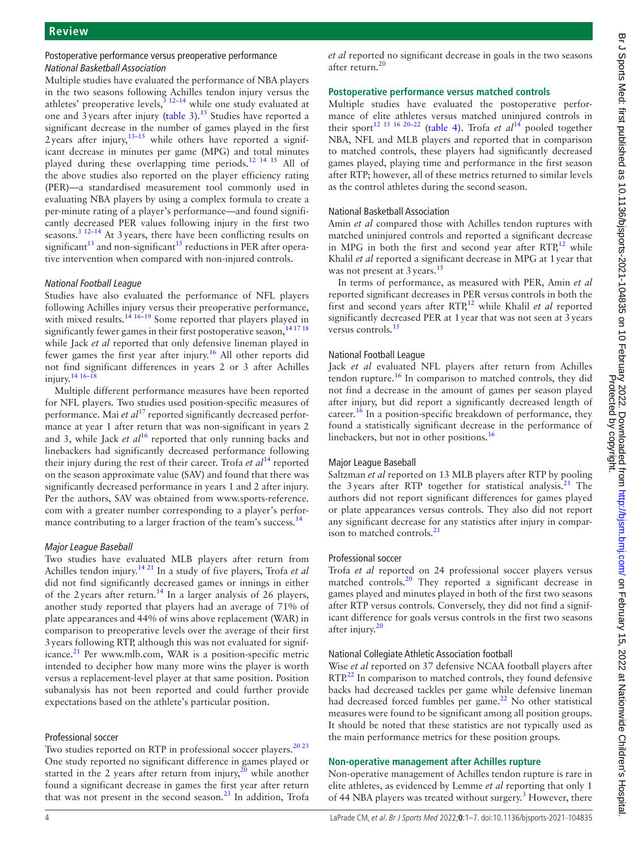# Postoperative performance versus preoperative performance *National Basketball Association*

Multiple studies have evaluated the performance of NBA players in the two seasons following Achilles tendon injury versus the athletes' preoperative levels,  $3^{3}$  12–14 while one study evaluated at one and  $3$  years after injury ([table](#page-2-0) 3).<sup>15</sup> Studies have reported a significant decrease in the number of games played in the first 2 years after injury, $13-15$  while others have reported a significant decrease in minutes per game (MPG) and total minutes played during these overlapping time periods.[12 14 15](#page-6-19) All of the above studies also reported on the player efficiency rating (PER)—a standardised measurement tool commonly used in evaluating NBA players by using a complex formula to create a per-minute rating of a player's performance—and found significantly decreased PER values following injury in the first two seasons. $3 \times 12^{-14}$  At 3 years, there have been conflicting results on significant $13$  and non-significant $15$  reductions in PER after operative intervention when compared with non-injured controls.

#### *National Football League*

Studies have also evaluated the performance of NFL players following Achilles injury versus their preoperative performance, with mixed results.<sup>14 16-19</sup> Some reported that players played in significantly fewer games in their first postoperative season,  $141718$ while Jack *et al* reported that only defensive lineman played in fewer games the first year after injury.[16](#page-6-22) All other reports did not find significant differences in years 2 or 3 after Achilles injury.[14 16–18](#page-6-18)

Multiple different performance measures have been reported for NFL players. Two studies used position-specific measures of performance. Mai *et al*<sup>[17](#page-6-23)</sup> reported significantly decreased performance at year 1 after return that was non-significant in years 2 and 3, while Jack *et al*<sup>[16](#page-6-22)</sup> reported that only running backs and linebackers had significantly decreased performance following their injury during the rest of their career. Trofa *et al*[14](#page-6-18) reported on the season approximate value (SAV) and found that there was significantly decreased performance in years 1 and 2 after injury. Per the authors, SAV was obtained from www.sports-reference. com with a greater number corresponding to a player's perfor-mance contributing to a larger fraction of the team's success.<sup>[14](#page-6-18)</sup>

## *Major League Baseball*

Two studies have evaluated MLB players after return from Achilles tendon injury.[14 21](#page-6-18) In a study of five players, Trofa *et al* did not find significantly decreased games or innings in either of the 2years after return.<sup>14</sup> In a larger analysis of 26 players, another study reported that players had an average of 71% of plate appearances and 44% of wins above replacement (WAR) in comparison to preoperative levels over the average of their first 3years following RTP, although this was not evaluated for significance. $^{21}$  Per www.mlb.com, WAR is a position-specific metric intended to decipher how many more wins the player is worth versus a replacement-level player at that same position. Position subanalysis has not been reported and could further provide expectations based on the athlete's particular position.

## Professional soccer

Two studies reported on RTP in professional soccer players.<sup>[20 23](#page-6-7)</sup> One study reported no significant difference in games played or started in the 2 years after return from injury,  $2^0$  while another found a significant decrease in games the first year after return that was not present in the second season.<sup>23</sup> In addition, Trofa *et al* reported no significant decrease in goals in the two seasons after return.[20](#page-6-7)

## **Postoperative performance versus matched controls**

Multiple studies have evaluated the postoperative performance of elite athletes versus matched uninjured controls in their sport<sup>12 15 16 20-22</sup> ([table](#page-2-1) 4). Trofa *et al*<sup>[14](#page-6-18)</sup> pooled together NBA, NFL and MLB players and reported that in comparison to matched controls, these players had significantly decreased games played, playing time and performance in the first season after RTP; however, all of these metrics returned to similar levels as the control athletes during the second season.

#### National Basketball Association

Amin *et al* compared those with Achilles tendon ruptures with matched uninjured controls and reported a significant decrease in MPG in both the first and second year after  $RTP<sub>12</sub>$  $RTP<sub>12</sub>$  $RTP<sub>12</sub>$  while Khalil *et al* reported a significant decrease in MPG at 1year that was not present at 3 years.<sup>[15](#page-6-21)</sup>

In terms of performance, as measured with PER, Amin *et al* reported significant decreases in PER versus controls in both the first and second years after RTP,<sup>12</sup> while Khalil *et al* reported significantly decreased PER at 1year that was not seen at 3years versus controls.<sup>[15](#page-6-21)</sup>

## National Football League

Jack *et al* evaluated NFL players after return from Achilles tendon rupture.<sup>[16](#page-6-22)</sup> In comparison to matched controls, they did not find a decrease in the amount of games per season played after injury, but did report a significantly decreased length of career.<sup>16</sup> In a position-specific breakdown of performance, they found a statistically significant decrease in the performance of linebackers, but not in other positions.<sup>16</sup>

#### Major League Baseball

Saltzman *et al* reported on 13 MLB players after RTP by pooling the 3 years after RTP together for statistical analysis.<sup>21</sup> The authors did not report significant differences for games played or plate appearances versus controls. They also did not report any significant decrease for any statistics after injury in compar-ison to matched controls.<sup>[21](#page-6-8)</sup>

## Professional soccer

Trofa *et al* reported on 24 professional soccer players versus matched controls.[20](#page-6-7) They reported a significant decrease in games played and minutes played in both of the first two seasons after RTP versus controls. Conversely, they did not find a significant difference for goals versus controls in the first two seasons after injury[.20](#page-6-7)

#### National Collegiate Athletic Association football

Wise *et al* reported on 37 defensive NCAA football players after  $RTP<sup>22</sup>$  In comparison to matched controls, they found defensive backs had decreased tackles per game while defensive lineman had decreased forced fumbles per game. $^{22}$  No other statistical measures were found to be significant among all position groups. It should be noted that these statistics are not typically used as the main performance metrics for these position groups.

#### **Non-operative management after Achilles rupture**

Non-operative management of Achilles tendon rupture is rare in elite athletes, as evidenced by Lemme *et al* reporting that only 1 of 44 NBA players was treated without surgery.<sup>[3](#page-5-2)</sup> However, there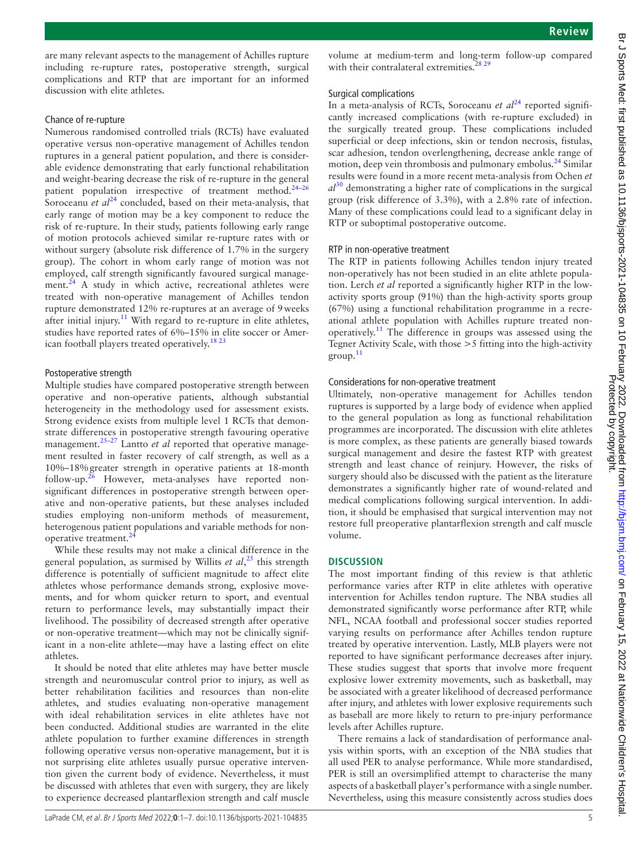are many relevant aspects to the management of Achilles rupture including re-rupture rates, postoperative strength, surgical complications and RTP that are important for an informed discussion with elite athletes.

# Chance of re-rupture

Numerous randomised controlled trials (RCTs) have evaluated operative versus non-operative management of Achilles tendon ruptures in a general patient population, and there is considerable evidence demonstrating that early functional rehabilitation and weight-bearing decrease the risk of re-rupture in the general patient population irrespective of treatment method. $24-26$ Soroceanu *et al*<sup>[24](#page-6-11)</sup> concluded, based on their meta-analysis, that early range of motion may be a key component to reduce the risk of re-rupture. In their study, patients following early range of motion protocols achieved similar re-rupture rates with or without surgery (absolute risk difference of 1.7% in the surgery group). The cohort in whom early range of motion was not employed, calf strength significantly favoured surgical management.<sup>24</sup> A study in which active, recreational athletes were treated with non-operative management of Achilles tendon rupture demonstrated 12% re-ruptures at an average of 9weeks after initial injury.<sup>[11](#page-6-4)</sup> With regard to re-rupture in elite athletes, studies have reported rates of 6%–15% in elite soccer or Amer-ican football players treated operatively.<sup>[18 23](#page-6-24)</sup>

#### Postoperative strength

Multiple studies have compared postoperative strength between operative and non-operative patients, although substantial heterogeneity in the methodology used for assessment exists. Strong evidence exists from multiple level 1 RCTs that demonstrate differences in postoperative strength favouring operative management.[25–27](#page-6-12) Lantto *et al* reported that operative management resulted in faster recovery of calf strength, as well as a 10%–18%greater strength in operative patients at 18-month follow-up.[26](#page-6-13) However, meta-analyses have reported nonsignificant differences in postoperative strength between operative and non-operative patients, but these analyses included studies employing non-uniform methods of measurement, heterogenous patient populations and variable methods for nonoperative treatment.<sup>2</sup>

While these results may not make a clinical difference in the general population, as surmised by Willits *et al*, [25](#page-6-12) this strength difference is potentially of sufficient magnitude to affect elite athletes whose performance demands strong, explosive movements, and for whom quicker return to sport, and eventual return to performance levels, may substantially impact their livelihood. The possibility of decreased strength after operative or non-operative treatment—which may not be clinically significant in a non-elite athlete—may have a lasting effect on elite athletes.

It should be noted that elite athletes may have better muscle strength and neuromuscular control prior to injury, as well as better rehabilitation facilities and resources than non-elite athletes, and studies evaluating non-operative management with ideal rehabilitation services in elite athletes have not been conducted. Additional studies are warranted in the elite athlete population to further examine differences in strength following operative versus non-operative management, but it is not surprising elite athletes usually pursue operative intervention given the current body of evidence. Nevertheless, it must be discussed with athletes that even with surgery, they are likely to experience decreased plantarflexion strength and calf muscle

volume at medium-term and long-term follow-up compared with their contralateral extremities.<sup>2</sup>

## Surgical complications

In a meta-analysis of RCTs, Soroceanu *et*  $al<sup>24</sup>$  reported significantly increased complications (with re-rupture excluded) in the surgically treated group. These complications included superficial or deep infections, skin or tendon necrosis, fistulas, scar adhesion, tendon overlengthening, decrease ankle range of motion, deep vein thrombosis and pulmonary embolus.<sup>[24](#page-6-11)</sup> Similar results were found in a more recent meta-analysis from Ochen *et*   $a<sup>30</sup>$  $a<sup>30</sup>$  $a<sup>30</sup>$  demonstrating a higher rate of complications in the surgical group (risk difference of 3.3%), with a 2.8% rate of infection. Many of these complications could lead to a significant delay in RTP or suboptimal postoperative outcome.

# RTP in non-operative treatment

The RTP in patients following Achilles tendon injury treated non-operatively has not been studied in an elite athlete population. Lerch *et al* reported a significantly higher RTP in the lowactivity sports group (91%) than the high-activity sports group (67%) using a functional rehabilitation programme in a recreational athlete population with Achilles rupture treated nonoperatively.<sup>11</sup> The difference in groups was assessed using the Tegner Activity Scale, with those >5 fitting into the high-activity  $\text{group}$ .<sup>[11](#page-6-4)</sup>

## Considerations for non-operative treatment

Ultimately, non-operative management for Achilles tendon ruptures is supported by a large body of evidence when applied to the general population as long as functional rehabilitation programmes are incorporated. The discussion with elite athletes is more complex, as these patients are generally biased towards surgical management and desire the fastest RTP with greatest strength and least chance of reinjury. However, the risks of surgery should also be discussed with the patient as the literature demonstrates a significantly higher rate of wound-related and medical complications following surgical intervention. In addition, it should be emphasised that surgical intervention may not restore full preoperative plantarflexion strength and calf muscle volume.

## **DISCUSSION**

The most important finding of this review is that athletic performance varies after RTP in elite athletes with operative intervention for Achilles tendon rupture. The NBA studies all demonstrated significantly worse performance after RTP, while NFL, NCAA football and professional soccer studies reported varying results on performance after Achilles tendon rupture treated by operative intervention. Lastly, MLB players were not reported to have significant performance decreases after injury. These studies suggest that sports that involve more frequent explosive lower extremity movements, such as basketball, may be associated with a greater likelihood of decreased performance after injury, and athletes with lower explosive requirements such as baseball are more likely to return to pre-injury performance levels after Achilles rupture.

There remains a lack of standardisation of performance analysis within sports, with an exception of the NBA studies that all used PER to analyse performance. While more standardised, PER is still an oversimplified attempt to characterise the many aspects of a basketball player's performance with a single number. Nevertheless, using this measure consistently across studies does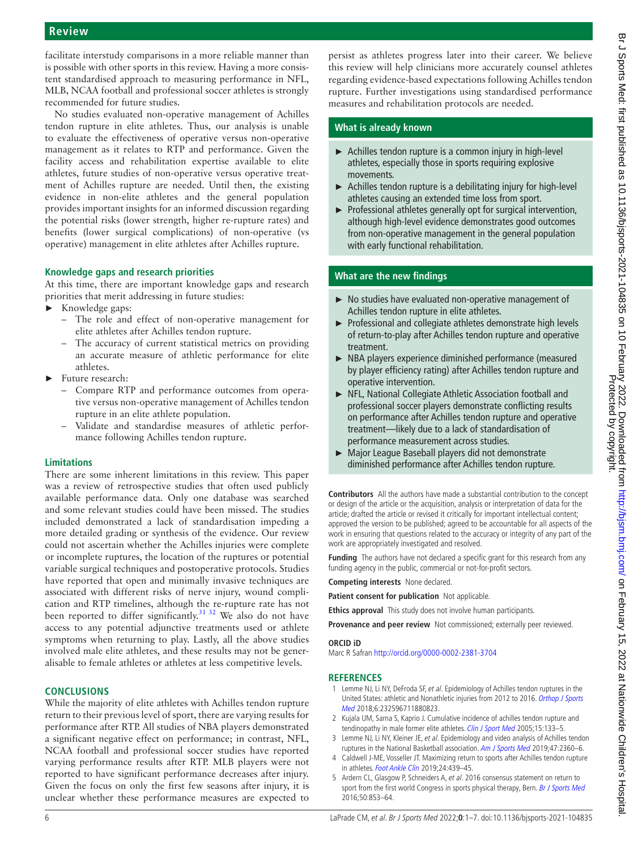facilitate interstudy comparisons in a more reliable manner than is possible with other sports in this review. Having a more consistent standardised approach to measuring performance in NFL, MLB, NCAA football and professional soccer athletes is strongly recommended for future studies.

No studies evaluated non-operative management of Achilles tendon rupture in elite athletes. Thus, our analysis is unable to evaluate the effectiveness of operative versus non-operative management as it relates to RTP and performance. Given the facility access and rehabilitation expertise available to elite athletes, future studies of non-operative versus operative treatment of Achilles rupture are needed. Until then, the existing evidence in non-elite athletes and the general population provides important insights for an informed discussion regarding the potential risks (lower strength, higher re-rupture rates) and benefits (lower surgical complications) of non-operative (vs operative) management in elite athletes after Achilles rupture.

# **Knowledge gaps and research priorities**

At this time, there are important knowledge gaps and research priorities that merit addressing in future studies:

- ► Knowledge gaps:
	- The role and effect of non-operative management for elite athletes after Achilles tendon rupture.
	- The accuracy of current statistical metrics on providing an accurate measure of athletic performance for elite athletes.
- ► Future research:
	- Compare RTP and performance outcomes from operative versus non-operative management of Achilles tendon rupture in an elite athlete population.
	- Validate and standardise measures of athletic performance following Achilles tendon rupture.

# **Limitations**

There are some inherent limitations in this review. This paper was a review of retrospective studies that often used publicly available performance data. Only one database was searched and some relevant studies could have been missed. The studies included demonstrated a lack of standardisation impeding a more detailed grading or synthesis of the evidence. Our review could not ascertain whether the Achilles injuries were complete or incomplete ruptures, the location of the ruptures or potential variable surgical techniques and postoperative protocols. Studies have reported that open and minimally invasive techniques are associated with different risks of nerve injury, wound complication and RTP timelines, although the re-rupture rate has not been reported to differ significantly.<sup>31 32</sup> We also do not have access to any potential adjunctive treatments used or athlete symptoms when returning to play. Lastly, all the above studies involved male elite athletes, and these results may not be generalisable to female athletes or athletes at less competitive levels.

# **CONCLUSIONS**

While the majority of elite athletes with Achilles tendon rupture return to their previous level of sport, there are varying results for performance after RTP. All studies of NBA players demonstrated a significant negative effect on performance; in contrast, NFL, NCAA football and professional soccer studies have reported varying performance results after RTP. MLB players were not reported to have significant performance decreases after injury. Given the focus on only the first few seasons after injury, it is unclear whether these performance measures are expected to

persist as athletes progress later into their career. We believe this review will help clinicians more accurately counsel athletes regarding evidence-based expectations following Achilles tendon rupture. Further investigations using standardised performance measures and rehabilitation protocols are needed.

# **What is already known**

- ► Achilles tendon rupture is a common injury in high-level athletes, especially those in sports requiring explosive movements.
- ► Achilles tendon rupture is a debilitating injury for high-level athletes causing an extended time loss from sport.
- ► Professional athletes generally opt for surgical intervention, although high-level evidence demonstrates good outcomes from non-operative management in the general population with early functional rehabilitation.

# **What are the new findings**

- ► No studies have evaluated non-operative management of Achilles tendon rupture in elite athletes.
- Professional and collegiate athletes demonstrate high levels of return-to-play after Achilles tendon rupture and operative treatment.
- ► NBA players experience diminished performance (measured by player efficiency rating) after Achilles tendon rupture and operative intervention.
- ► NFL, National Collegiate Athletic Association football and professional soccer players demonstrate conflicting results on performance after Achilles tendon rupture and operative treatment—likely due to a lack of standardisation of performance measurement across studies.
- ► Major League Baseball players did not demonstrate diminished performance after Achilles tendon rupture.

**Contributors** All the authors have made a substantial contribution to the concept or design of the article or the acquisition, analysis or interpretation of data for the article; drafted the article or revised it critically for important intellectual content; approved the version to be published; agreed to be accountable for all aspects of the work in ensuring that questions related to the accuracy or integrity of any part of the work are appropriately investigated and resolved.

**Funding** The authors have not declared a specific grant for this research from any funding agency in the public, commercial or not-for-profit sectors.

**Competing interests** None declared.

**Patient consent for publication** Not applicable.

**Ethics approval** This study does not involve human participants.

**Provenance and peer review** Not commissioned; externally peer reviewed.

# **ORCID iD**

Marc R Safran http://orcid.org/0000-0002-2381-3704

# **REFERENCES**

- <span id="page-5-0"></span>1 Lemme NJ, Li NY, DeFroda SF, et al. Epidemiology of Achilles tendon ruptures in the United States: athletic and Nonathletic injuries from 2012 to 2016. Orthop J Sports Med 2018;6:232596711880823.
- <span id="page-5-1"></span>2 Kujala UM, Sarna S, Kaprio J. Cumulative incidence of achilles tendon rupture and tendinopathy in male former elite athletes. Clin J Sport Med 2005;15:133-5.
- <span id="page-5-2"></span>3 Lemme NJ, Li NY, Kleiner JE, et al. Epidemiology and video analysis of Achilles tendon ruptures in the National Basketball association. Am J Sports Med 2019;47:2360-6.
- <span id="page-5-3"></span>4 Caldwell J-ME, Vosseller JT. Maximizing return to sports after Achilles tendon rupture in athletes. Foot Ankle Clin 2019;24:439-45.
- 5 Ardern CL, Glasgow P, Schneiders A, et al. 2016 consensus statement on return to sport from the first world Congress in sports physical therapy, Bern. Br J Sports Med 2016;50:853–64.